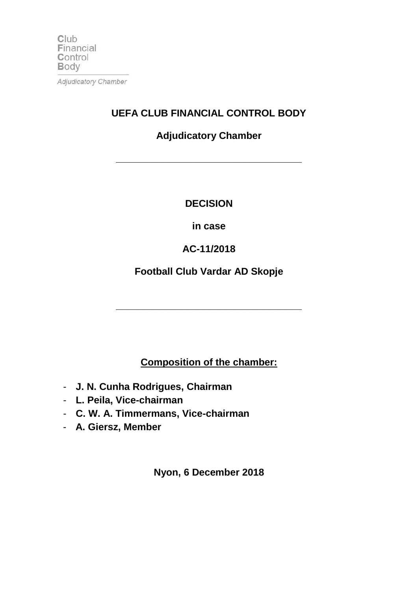$Club$ Financial Control **Body** Adjudicatory Chamber

# **Adjudicatory Chamber**

**\_\_\_\_\_\_\_\_\_\_\_\_\_\_\_\_\_\_\_\_\_\_\_\_\_\_\_\_\_\_\_\_\_\_**

**UEFA CLUB FINANCIAL CONTROL BODY**

### **DECISION**

### **in case**

## **AC-11/2018**

### **Football Club Vardar AD Skopje**

**\_\_\_\_\_\_\_\_\_\_\_\_\_\_\_\_\_\_\_\_\_\_\_\_\_\_\_\_\_\_\_\_\_\_**

### **Composition of the chamber:**

- **J. N. Cunha Rodrigues, Chairman**
- **L. Peila, Vice-chairman**
- **C. W. A. Timmermans, Vice-chairman**
- **A. Giersz, Member**

**Nyon, 6 December 2018**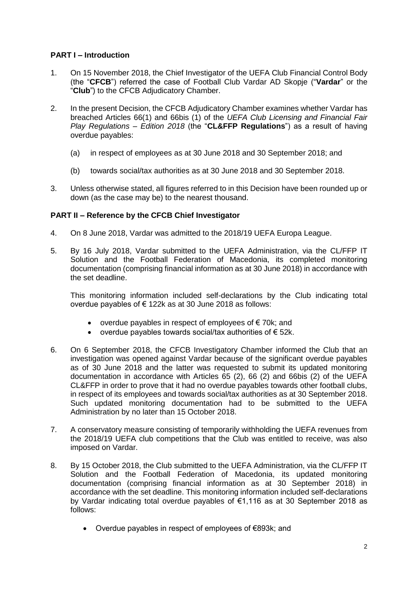#### **PART I – Introduction**

- 1. On 15 November 2018, the Chief Investigator of the UEFA Club Financial Control Body (the "**CFCB**") referred the case of Football Club Vardar AD Skopje ("**Vardar**" or the "**Club**") to the CFCB Adjudicatory Chamber.
- 2. In the present Decision, the CFCB Adjudicatory Chamber examines whether Vardar has breached Articles 66(1) and 66bis (1) of the *UEFA Club Licensing and Financial Fair Play Regulations – Edition 2018* (the "**CL&FFP Regulations**") as a result of having overdue payables:
	- (a) in respect of employees as at 30 June 2018 and 30 September 2018; and
	- (b) towards social/tax authorities as at 30 June 2018 and 30 September 2018.
- 3. Unless otherwise stated, all figures referred to in this Decision have been rounded up or down (as the case may be) to the nearest thousand.

### **PART II – Reference by the CFCB Chief Investigator**

- 4. On 8 June 2018, Vardar was admitted to the 2018/19 UEFA Europa League.
- 5. By 16 July 2018, Vardar submitted to the UEFA Administration, via the CL/FFP IT Solution and the Football Federation of Macedonia, its completed monitoring documentation (comprising financial information as at 30 June 2018) in accordance with the set deadline.

This monitoring information included self-declarations by the Club indicating total overdue payables of € 122k as at 30 June 2018 as follows:

- overdue payables in respect of employees of € 70k; and
- overdue payables towards social/tax authorities of  $\epsilon$  52k.
- 6. On 6 September 2018, the CFCB Investigatory Chamber informed the Club that an investigation was opened against Vardar because of the significant overdue payables as of 30 June 2018 and the latter was requested to submit its updated monitoring documentation in accordance with Articles 65 (2), 66 (2) and 66bis (2) of the UEFA CL&FFP in order to prove that it had no overdue payables towards other football clubs, in respect of its employees and towards social/tax authorities as at 30 September 2018. Such updated monitoring documentation had to be submitted to the UEFA Administration by no later than 15 October 2018.
- 7. A conservatory measure consisting of temporarily withholding the UEFA revenues from the 2018/19 UEFA club competitions that the Club was entitled to receive, was also imposed on Vardar.
- 8. By 15 October 2018, the Club submitted to the UEFA Administration, via the CL/FFP IT Solution and the Football Federation of Macedonia, its updated monitoring documentation (comprising financial information as at 30 September 2018) in accordance with the set deadline. This monitoring information included self-declarations by Vardar indicating total overdue payables of €1,116 as at 30 September 2018 as follows:
	- Overdue payables in respect of employees of €893k; and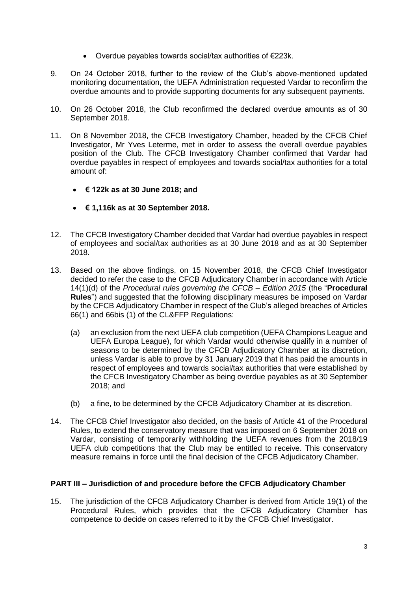- Overdue payables towards social/tax authorities of €223k.
- 9. On 24 October 2018, further to the review of the Club's above-mentioned updated monitoring documentation, the UEFA Administration requested Vardar to reconfirm the overdue amounts and to provide supporting documents for any subsequent payments.
- 10. On 26 October 2018, the Club reconfirmed the declared overdue amounts as of 30 September 2018.
- 11. On 8 November 2018, the CFCB Investigatory Chamber, headed by the CFCB Chief Investigator, Mr Yves Leterme, met in order to assess the overall overdue payables position of the Club. The CFCB Investigatory Chamber confirmed that Vardar had overdue payables in respect of employees and towards social/tax authorities for a total amount of:
	- **€ 122k as at 30 June 2018; and**
	- **€ 1,116k as at 30 September 2018.**
- 12. The CFCB Investigatory Chamber decided that Vardar had overdue payables in respect of employees and social/tax authorities as at 30 June 2018 and as at 30 September 2018.
- 13. Based on the above findings, on 15 November 2018, the CFCB Chief Investigator decided to refer the case to the CFCB Adjudicatory Chamber in accordance with Article 14(1)(d) of the *Procedural rules governing the CFCB – Edition 2015* (the "**Procedural Rules**") and suggested that the following disciplinary measures be imposed on Vardar by the CFCB Adjudicatory Chamber in respect of the Club's alleged breaches of Articles 66(1) and 66bis (1) of the CL&FFP Regulations:
	- (a) an exclusion from the next UEFA club competition (UEFA Champions League and UEFA Europa League), for which Vardar would otherwise qualify in a number of seasons to be determined by the CFCB Adjudicatory Chamber at its discretion, unless Vardar is able to prove by 31 January 2019 that it has paid the amounts in respect of employees and towards social/tax authorities that were established by the CFCB Investigatory Chamber as being overdue payables as at 30 September 2018; and
	- (b) a fine, to be determined by the CFCB Adjudicatory Chamber at its discretion.
- 14. The CFCB Chief Investigator also decided, on the basis of Article 41 of the Procedural Rules, to extend the conservatory measure that was imposed on 6 September 2018 on Vardar, consisting of temporarily withholding the UEFA revenues from the 2018/19 UEFA club competitions that the Club may be entitled to receive. This conservatory measure remains in force until the final decision of the CFCB Adjudicatory Chamber.

#### **PART III – Jurisdiction of and procedure before the CFCB Adjudicatory Chamber**

15. The jurisdiction of the CFCB Adjudicatory Chamber is derived from Article 19(1) of the Procedural Rules, which provides that the CFCB Adjudicatory Chamber has competence to decide on cases referred to it by the CFCB Chief Investigator.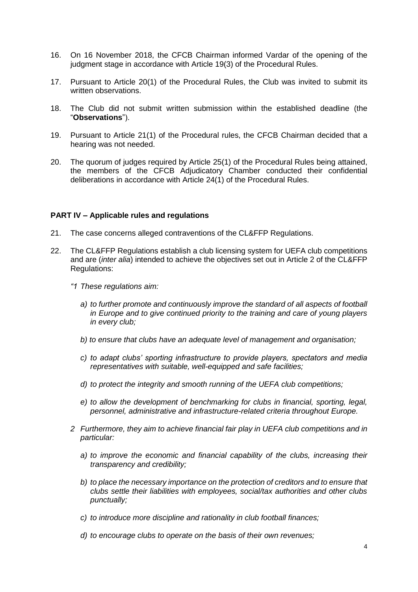- 16. On 16 November 2018, the CFCB Chairman informed Vardar of the opening of the judgment stage in accordance with Article 19(3) of the Procedural Rules.
- 17. Pursuant to Article 20(1) of the Procedural Rules, the Club was invited to submit its written observations.
- 18. The Club did not submit written submission within the established deadline (the "**Observations**").
- 19. Pursuant to Article 21(1) of the Procedural rules, the CFCB Chairman decided that a hearing was not needed.
- 20. The quorum of judges required by Article 25(1) of the Procedural Rules being attained, the members of the CFCB Adjudicatory Chamber conducted their confidential deliberations in accordance with Article 24(1) of the Procedural Rules.

#### **PART IV – Applicable rules and regulations**

- 21. The case concerns alleged contraventions of the CL&FFP Regulations.
- 22. The CL&FFP Regulations establish a club licensing system for UEFA club competitions and are (*inter alia*) intended to achieve the objectives set out in Article 2 of the CL&FFP Regulations:
	- *"1 These regulations aim:*
		- *a) to further promote and continuously improve the standard of all aspects of football in Europe and to give continued priority to the training and care of young players in every club;*
		- *b) to ensure that clubs have an adequate level of management and organisation;*
		- *c) to adapt clubs' sporting infrastructure to provide players, spectators and media representatives with suitable, well-equipped and safe facilities;*
		- *d) to protect the integrity and smooth running of the UEFA club competitions;*
		- *e) to allow the development of benchmarking for clubs in financial, sporting, legal, personnel, administrative and infrastructure-related criteria throughout Europe.*
	- *2 Furthermore, they aim to achieve financial fair play in UEFA club competitions and in particular:*
		- *a) to improve the economic and financial capability of the clubs, increasing their transparency and credibility;*
		- *b) to place the necessary importance on the protection of creditors and to ensure that clubs settle their liabilities with employees, social/tax authorities and other clubs punctually;*
		- *c) to introduce more discipline and rationality in club football finances;*
		- *d) to encourage clubs to operate on the basis of their own revenues;*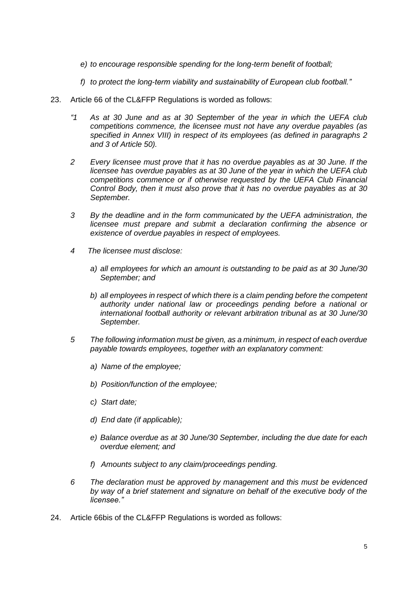- *e) to encourage responsible spending for the long-term benefit of football;*
- *f) to protect the long-term viability and sustainability of European club football."*
- 23. Article 66 of the CL&FFP Regulations is worded as follows:
	- *"1 As at 30 June and as at 30 September of the year in which the UEFA club competitions commence, the licensee must not have any overdue payables (as specified in Annex VIII) in respect of its employees (as defined in paragraphs 2 and 3 of Article 50).*
	- *2 Every licensee must prove that it has no overdue payables as at 30 June. If the licensee has overdue payables as at 30 June of the year in which the UEFA club competitions commence or if otherwise requested by the UEFA Club Financial Control Body, then it must also prove that it has no overdue payables as at 30 September.*
	- *3 By the deadline and in the form communicated by the UEFA administration, the licensee must prepare and submit a declaration confirming the absence or existence of overdue payables in respect of employees.*
	- *4 The licensee must disclose:*
		- *a) all employees for which an amount is outstanding to be paid as at 30 June/30 September; and*
		- *b) all employees in respect of which there is a claim pending before the competent authority under national law or proceedings pending before a national or international football authority or relevant arbitration tribunal as at 30 June/30 September.*
	- *5 The following information must be given, as a minimum, in respect of each overdue payable towards employees, together with an explanatory comment:*
		- *a) Name of the employee;*
		- *b) Position/function of the employee;*
		- *c) Start date;*
		- *d) End date (if applicable);*
		- *e) Balance overdue as at 30 June/30 September, including the due date for each overdue element; and*
		- *f) Amounts subject to any claim/proceedings pending.*
	- *6 The declaration must be approved by management and this must be evidenced by way of a brief statement and signature on behalf of the executive body of the licensee."*
- 24. Article 66bis of the CL&FFP Regulations is worded as follows: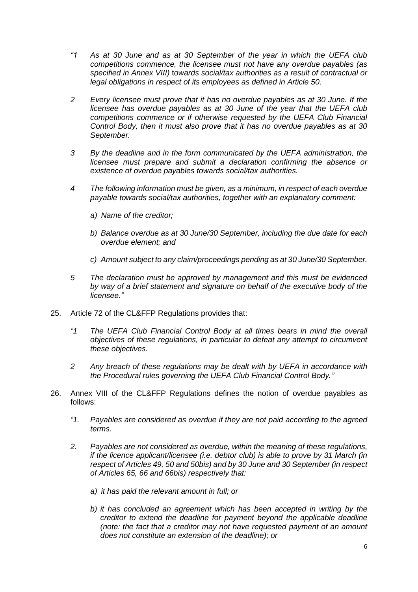- *"1 As at 30 June and as at 30 September of the year in which the UEFA club competitions commence, the licensee must not have any overdue payables (as specified in Annex VIII)* t*owards social/tax authorities as a result of contractual or legal obligations in respect of its employees as defined in Article 50.*
- *2 Every licensee must prove that it has no overdue payables as at 30 June. If the licensee has overdue payables as at 30 June of the year that the UEFA club competitions commence or if otherwise requested by the UEFA Club Financial Control Body, then it must also prove that it has no overdue payables as at 30 September.*
- *3 By the deadline and in the form communicated by the UEFA administration, the licensee must prepare and submit a declaration confirming the absence or existence of overdue payables towards social/tax authorities.*
- *4 The following information must be given, as a minimum, in respect of each overdue payable towards social/tax authorities, together with an explanatory comment:*
	- *a) Name of the creditor;*
	- *b) Balance overdue as at 30 June/30 September, including the due date for each overdue element; and*
	- *c) Amount subject to any claim/proceedings pending as at 30 June/30 September.*
- *5 The declaration must be approved by management and this must be evidenced by way of a brief statement and signature on behalf of the executive body of the licensee."*
- 25. Article 72 of the CL&FFP Regulations provides that:
	- *"1 The UEFA Club Financial Control Body at all times bears in mind the overall objectives of these regulations, in particular to defeat any attempt to circumvent these objectives.*
	- *2 Any breach of these regulations may be dealt with by UEFA in accordance with the Procedural rules governing the UEFA Club Financial Control Body."*
- 26. Annex VIII of the CL&FFP Regulations defines the notion of overdue payables as follows:
	- *"1. Payables are considered as overdue if they are not paid according to the agreed terms.*
	- *2. Payables are not considered as overdue, within the meaning of these regulations, if the licence applicant/licensee (i.e. debtor club) is able to prove by 31 March (in respect of Articles 49, 50 and 50bis) and by 30 June and 30 September (in respect of Articles 65, 66 and 66bis) respectively that:*
		- *a) it has paid the relevant amount in full; or*
		- *b) it has concluded an agreement which has been accepted in writing by the creditor to extend the deadline for payment beyond the applicable deadline (note: the fact that a creditor may not have requested payment of an amount does not constitute an extension of the deadline); or*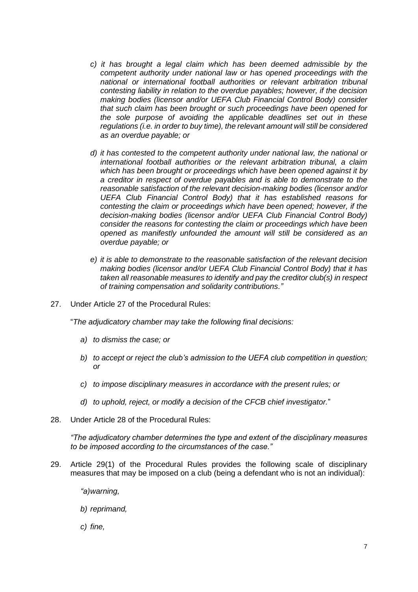- *c) it has brought a legal claim which has been deemed admissible by the competent authority under national law or has opened proceedings with the national or international football authorities or relevant arbitration tribunal contesting liability in relation to the overdue payables; however, if the decision making bodies (licensor and/or UEFA Club Financial Control Body) consider that such claim has been brought or such proceedings have been opened for the sole purpose of avoiding the applicable deadlines set out in these regulations (i.e. in order to buy time), the relevant amount will still be considered as an overdue payable; or*
- *d) it has contested to the competent authority under national law, the national or international football authorities or the relevant arbitration tribunal, a claim which has been brought or proceedings which have been opened against it by a creditor in respect of overdue payables and is able to demonstrate to the reasonable satisfaction of the relevant decision-making bodies (licensor and/or UEFA Club Financial Control Body) that it has established reasons for contesting the claim or proceedings which have been opened; however, if the decision-making bodies (licensor and/or UEFA Club Financial Control Body) consider the reasons for contesting the claim or proceedings which have been opened as manifestly unfounded the amount will still be considered as an overdue payable; or*
- *e) it is able to demonstrate to the reasonable satisfaction of the relevant decision making bodies (licensor and/or UEFA Club Financial Control Body) that it has taken all reasonable measures to identify and pay the creditor club(s) in respect of training compensation and solidarity contributions."*
- 27. Under Article 27 of the Procedural Rules:

"*The adjudicatory chamber may take the following final decisions:*

- *a) to dismiss the case; or*
- *b) to accept or reject the club's admission to the UEFA club competition in question; or*
- *c) to impose disciplinary measures in accordance with the present rules; or*
- *d) to uphold, reject, or modify a decision of the CFCB chief investigator.*"
- 28. Under Article 28 of the Procedural Rules:

*"The adjudicatory chamber determines the type and extent of the disciplinary measures to be imposed according to the circumstances of the case."* 

- 29. Article 29(1) of the Procedural Rules provides the following scale of disciplinary measures that may be imposed on a club (being a defendant who is not an individual):
	- *"a)warning,*
	- *b) reprimand,*
	- *c) fine,*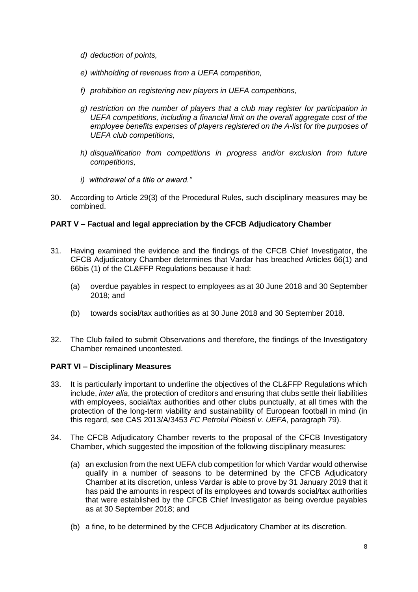- *d) deduction of points,*
- *e) withholding of revenues from a UEFA competition,*
- *f) prohibition on registering new players in UEFA competitions,*
- *g) restriction on the number of players that a club may register for participation in UEFA competitions, including a financial limit on the overall aggregate cost of the employee benefits expenses of players registered on the A-list for the purposes of UEFA club competitions,*
- *h) disqualification from competitions in progress and/or exclusion from future competitions,*
- *i) withdrawal of a title or award."*
- 30. According to Article 29(3) of the Procedural Rules, such disciplinary measures may be combined.

#### **PART V – Factual and legal appreciation by the CFCB Adjudicatory Chamber**

- 31. Having examined the evidence and the findings of the CFCB Chief Investigator, the CFCB Adjudicatory Chamber determines that Vardar has breached Articles 66(1) and 66bis (1) of the CL&FFP Regulations because it had:
	- (a) overdue payables in respect to employees as at 30 June 2018 and 30 September 2018; and
	- (b) towards social/tax authorities as at 30 June 2018 and 30 September 2018.
- 32. The Club failed to submit Observations and therefore, the findings of the Investigatory Chamber remained uncontested.

#### **PART VI – Disciplinary Measures**

- 33. It is particularly important to underline the objectives of the CL&FFP Regulations which include, *inter alia*, the protection of creditors and ensuring that clubs settle their liabilities with employees, social/tax authorities and other clubs punctually, at all times with the protection of the long-term viability and sustainability of European football in mind (in this regard, see CAS 2013/A/3453 *FC Petrolul Ploiesti v. UEFA*, paragraph 79).
- 34. The CFCB Adjudicatory Chamber reverts to the proposal of the CFCB Investigatory Chamber, which suggested the imposition of the following disciplinary measures:
	- (a) an exclusion from the next UEFA club competition for which Vardar would otherwise qualify in a number of seasons to be determined by the CFCB Adjudicatory Chamber at its discretion, unless Vardar is able to prove by 31 January 2019 that it has paid the amounts in respect of its employees and towards social/tax authorities that were established by the CFCB Chief Investigator as being overdue payables as at 30 September 2018; and
	- (b) a fine, to be determined by the CFCB Adjudicatory Chamber at its discretion.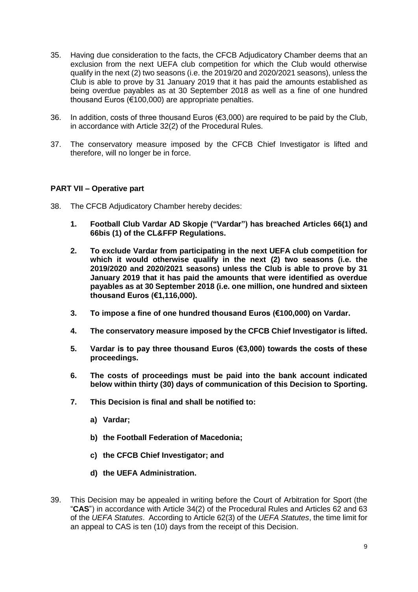- 35. Having due consideration to the facts, the CFCB Adjudicatory Chamber deems that an exclusion from the next UEFA club competition for which the Club would otherwise qualify in the next (2) two seasons (i.e. the 2019/20 and 2020/2021 seasons), unless the Club is able to prove by 31 January 2019 that it has paid the amounts established as being overdue payables as at 30 September 2018 as well as a fine of one hundred thousand Euros (€100,000) are appropriate penalties.
- 36. In addition, costs of three thousand Euros ( $63,000$ ) are required to be paid by the Club, in accordance with Article 32(2) of the Procedural Rules.
- 37. The conservatory measure imposed by the CFCB Chief Investigator is lifted and therefore, will no longer be in force.

#### **PART VII – Operative part**

- 38. The CFCB Adjudicatory Chamber hereby decides:
	- **1. Football Club Vardar AD Skopje ("Vardar") has breached Articles 66(1) and 66bis (1) of the CL&FFP Regulations.**
	- **2. To exclude Vardar from participating in the next UEFA club competition for which it would otherwise qualify in the next (2) two seasons (i.e. the 2019/2020 and 2020/2021 seasons) unless the Club is able to prove by 31 January 2019 that it has paid the amounts that were identified as overdue payables as at 30 September 2018 (i.e. one million, one hundred and sixteen thousand Euros (€1,116,000).**
	- **3. To impose a fine of one hundred thousand Euros (€100,000) on Vardar.**
	- **4. The conservatory measure imposed by the CFCB Chief Investigator is lifted.**
	- **5. Vardar is to pay three thousand Euros (€3,000) towards the costs of these proceedings.**
	- **6. The costs of proceedings must be paid into the bank account indicated below within thirty (30) days of communication of this Decision to Sporting.**
	- **7. This Decision is final and shall be notified to:**
		- **a) Vardar;**
		- **b) the Football Federation of Macedonia;**
		- **c) the CFCB Chief Investigator; and**
		- **d) the UEFA Administration.**
- 39. This Decision may be appealed in writing before the Court of Arbitration for Sport (the "**CAS**") in accordance with Article 34(2) of the Procedural Rules and Articles 62 and 63 of the *UEFA Statutes*. According to Article 62(3) of the *UEFA Statutes*, the time limit for an appeal to CAS is ten (10) days from the receipt of this Decision.